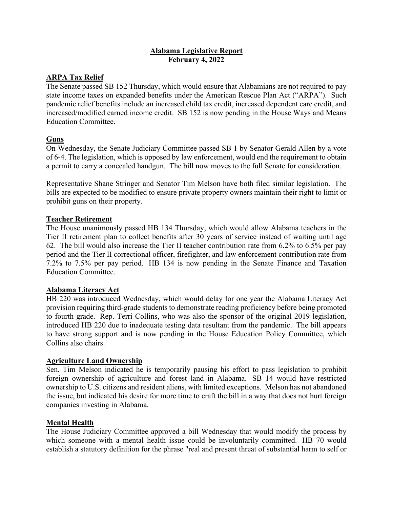### **Alabama Legislative Report February 4, 2022**

# **ARPA Tax Relief**

The Senate passed SB 152 Thursday, which would ensure that Alabamians are not required to pay state income taxes on expanded benefits under the American Rescue Plan Act ("ARPA"). Such pandemic relief benefits include an increased child tax credit, increased dependent care credit, and increased/modified earned income credit. SB 152 is now pending in the House Ways and Means Education Committee.

# **Guns**

On Wednesday, the Senate Judiciary Committee passed SB 1 by Senator Gerald Allen by a vote of 6-4. The legislation, which is opposed by law enforcement, would end the requirement to obtain a permit to carry a concealed handgun. The bill now moves to the full Senate for consideration.

Representative Shane Stringer and Senator Tim Melson have both filed similar legislation. The bills are expected to be modified to ensure private property owners maintain their right to limit or prohibit guns on their property.

# **Teacher Retirement**

The House unanimously passed HB 134 Thursday, which would allow Alabama teachers in the Tier II retirement plan to collect benefits after 30 years of service instead of waiting until age 62. The bill would also increase the Tier II teacher contribution rate from 6.2% to 6.5% per pay period and the Tier II correctional officer, firefighter, and law enforcement contribution rate from 7.2% to 7.5% per pay period. HB 134 is now pending in the Senate Finance and Taxation Education Committee.

# **Alabama Literacy Act**

HB 220 was introduced Wednesday, which would delay for one year the Alabama Literacy Act provision requiring third-grade students to demonstrate reading proficiency before being promoted to fourth grade. Rep. Terri Collins, who was also the sponsor of the original 2019 legislation, introduced HB 220 due to inadequate testing data resultant from the pandemic. The bill appears to have strong support and is now pending in the House Education Policy Committee, which Collins also chairs.

# **Agriculture Land Ownership**

Sen. Tim Melson indicated he is temporarily pausing his effort to pass legislation to prohibit foreign ownership of agriculture and forest land in Alabama. SB 14 would have restricted ownership to U.S. citizens and resident aliens, with limited exceptions. Melson has not abandoned the issue, but indicated his desire for more time to craft the bill in a way that does not hurt foreign companies investing in Alabama.

# **Mental Health**

The House Judiciary Committee approved a bill Wednesday that would modify the process by which someone with a mental health issue could be involuntarily committed. HB 70 would establish a statutory definition for the phrase "real and present threat of substantial harm to self or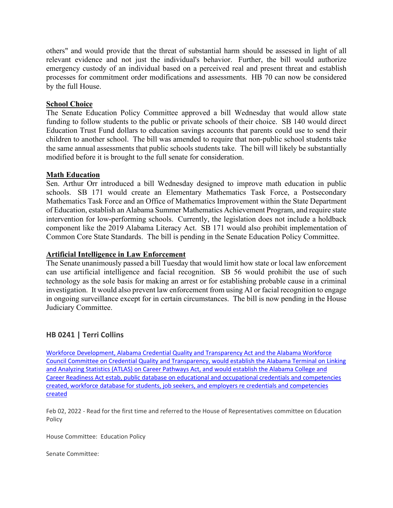others" and would provide that the threat of substantial harm should be assessed in light of all relevant evidence and not just the individual's behavior. Further, the bill would authorize emergency custody of an individual based on a perceived real and present threat and establish processes for commitment order modifications and assessments. HB 70 can now be considered by the full House.

### **School Choice**

The Senate Education Policy Committee approved a bill Wednesday that would allow state funding to follow students to the public or private schools of their choice. SB 140 would direct Education Trust Fund dollars to education savings accounts that parents could use to send their children to another school. The bill was amended to require that non-public school students take the same annual assessments that public schools students take. The bill will likely be substantially modified before it is brought to the full senate for consideration.

### **Math Education**

Sen. Arthur Orr introduced a bill Wednesday designed to improve math education in public schools. SB 171 would create an Elementary Mathematics Task Force, a Postsecondary Mathematics Task Force and an Office of Mathematics Improvement within the State Department of Education, establish an Alabama Summer Mathematics Achievement Program, and require state intervention for low-performing schools. Currently, the legislation does not include a holdback component like the 2019 Alabama Literacy Act. SB 171 would also prohibit implementation of Common Core State Standards. The bill is pending in the Senate Education Policy Committee.

### **Artificial Intelligence in Law Enforcement**

The Senate unanimously passed a bill Tuesday that would limit how state or local law enforcement can use artificial intelligence and facial recognition. SB 56 would prohibit the use of such technology as the sole basis for making an arrest or for establishing probable cause in a criminal investigation. It would also prevent law enforcement from using AI or facial recognition to engage in ongoing surveillance except for in certain circumstances. The bill is now pending in the House Judiciary Committee.

# **HB 0241 | Terri Collins**

[Workforce Development, Alabama Credential Quality and Transparency Act and the Alabama Workforce](https://url.emailprotection.link/?bGQDta356kMLP2nSm32-UhtJjoXBGn9ikeULZM_hbgOKtWhyeZOm5h7tiFYOAyqmRAAFLynO13FF14R3OOY61qbUD-aJMPpyfvqnH_Q6RPuOB4cl7ol_WmG6IPFVjSNZDTHaGGfa8IRUs0ewLrd5Q6UTLjeDYt5ZBtag541gti45JFNs_QZRvbb3dV7S2twmhmPokeOZyq8ltExp5rz_yCENIaVTiSL2syAeymJMJuFmlhK6rxEjt74mL6jNhs0KPEsmbfoCC014YcZ673L4V3hKqT7wxBM9KHneB7fsBbbG-TS2E4wjWwJFFh-A6nWgqYAi6n-cwLdq__U2ZQh0a67vqQSK-1_01GsoYyF9-6Cre0TgtFox_5ejou7xER2d6ZuNvQG4SKjLrG2H7jsnN4tAOG1mOtCCx1_LNuUf_okuqMKbbWUPuBGHHPrRLtIDKSoqpwn1e5yNNzympeaR6IOtlHYpyPKEVbufoF3ceE0LWVMuZfWnNJLN9qs_yZl9iWf5E2u1SpRv18KCnPdJxk7G8pUkzTM_pj4-8f4pw1zdRZX_lRC86XDu4XMB_8Hp42gud4LiuflctzC4Wm0nO-9WQzjjZiF8qbDfsuIzbDSlp5oCXfGpTa3Yn5rmiM8rn)  [Council Committee on Credential Quality and Transparency, would establish the Alabama Terminal on Linking](https://url.emailprotection.link/?bGQDta356kMLP2nSm32-UhtJjoXBGn9ikeULZM_hbgOKtWhyeZOm5h7tiFYOAyqmRAAFLynO13FF14R3OOY61qbUD-aJMPpyfvqnH_Q6RPuOB4cl7ol_WmG6IPFVjSNZDTHaGGfa8IRUs0ewLrd5Q6UTLjeDYt5ZBtag541gti45JFNs_QZRvbb3dV7S2twmhmPokeOZyq8ltExp5rz_yCENIaVTiSL2syAeymJMJuFmlhK6rxEjt74mL6jNhs0KPEsmbfoCC014YcZ673L4V3hKqT7wxBM9KHneB7fsBbbG-TS2E4wjWwJFFh-A6nWgqYAi6n-cwLdq__U2ZQh0a67vqQSK-1_01GsoYyF9-6Cre0TgtFox_5ejou7xER2d6ZuNvQG4SKjLrG2H7jsnN4tAOG1mOtCCx1_LNuUf_okuqMKbbWUPuBGHHPrRLtIDKSoqpwn1e5yNNzympeaR6IOtlHYpyPKEVbufoF3ceE0LWVMuZfWnNJLN9qs_yZl9iWf5E2u1SpRv18KCnPdJxk7G8pUkzTM_pj4-8f4pw1zdRZX_lRC86XDu4XMB_8Hp42gud4LiuflctzC4Wm0nO-9WQzjjZiF8qbDfsuIzbDSlp5oCXfGpTa3Yn5rmiM8rn)  [and Analyzing Statistics \(ATLAS\) on Career Pathways Act, and would establish the Alabama College and](https://url.emailprotection.link/?bGQDta356kMLP2nSm32-UhtJjoXBGn9ikeULZM_hbgOKtWhyeZOm5h7tiFYOAyqmRAAFLynO13FF14R3OOY61qbUD-aJMPpyfvqnH_Q6RPuOB4cl7ol_WmG6IPFVjSNZDTHaGGfa8IRUs0ewLrd5Q6UTLjeDYt5ZBtag541gti45JFNs_QZRvbb3dV7S2twmhmPokeOZyq8ltExp5rz_yCENIaVTiSL2syAeymJMJuFmlhK6rxEjt74mL6jNhs0KPEsmbfoCC014YcZ673L4V3hKqT7wxBM9KHneB7fsBbbG-TS2E4wjWwJFFh-A6nWgqYAi6n-cwLdq__U2ZQh0a67vqQSK-1_01GsoYyF9-6Cre0TgtFox_5ejou7xER2d6ZuNvQG4SKjLrG2H7jsnN4tAOG1mOtCCx1_LNuUf_okuqMKbbWUPuBGHHPrRLtIDKSoqpwn1e5yNNzympeaR6IOtlHYpyPKEVbufoF3ceE0LWVMuZfWnNJLN9qs_yZl9iWf5E2u1SpRv18KCnPdJxk7G8pUkzTM_pj4-8f4pw1zdRZX_lRC86XDu4XMB_8Hp42gud4LiuflctzC4Wm0nO-9WQzjjZiF8qbDfsuIzbDSlp5oCXfGpTa3Yn5rmiM8rn)  [Career Readiness Act estab, public database on educational and occupational credentials and competencies](https://url.emailprotection.link/?bGQDta356kMLP2nSm32-UhtJjoXBGn9ikeULZM_hbgOKtWhyeZOm5h7tiFYOAyqmRAAFLynO13FF14R3OOY61qbUD-aJMPpyfvqnH_Q6RPuOB4cl7ol_WmG6IPFVjSNZDTHaGGfa8IRUs0ewLrd5Q6UTLjeDYt5ZBtag541gti45JFNs_QZRvbb3dV7S2twmhmPokeOZyq8ltExp5rz_yCENIaVTiSL2syAeymJMJuFmlhK6rxEjt74mL6jNhs0KPEsmbfoCC014YcZ673L4V3hKqT7wxBM9KHneB7fsBbbG-TS2E4wjWwJFFh-A6nWgqYAi6n-cwLdq__U2ZQh0a67vqQSK-1_01GsoYyF9-6Cre0TgtFox_5ejou7xER2d6ZuNvQG4SKjLrG2H7jsnN4tAOG1mOtCCx1_LNuUf_okuqMKbbWUPuBGHHPrRLtIDKSoqpwn1e5yNNzympeaR6IOtlHYpyPKEVbufoF3ceE0LWVMuZfWnNJLN9qs_yZl9iWf5E2u1SpRv18KCnPdJxk7G8pUkzTM_pj4-8f4pw1zdRZX_lRC86XDu4XMB_8Hp42gud4LiuflctzC4Wm0nO-9WQzjjZiF8qbDfsuIzbDSlp5oCXfGpTa3Yn5rmiM8rn)  [created, workforce database for students, job seekers, and employers re credentials and competencies](https://url.emailprotection.link/?bGQDta356kMLP2nSm32-UhtJjoXBGn9ikeULZM_hbgOKtWhyeZOm5h7tiFYOAyqmRAAFLynO13FF14R3OOY61qbUD-aJMPpyfvqnH_Q6RPuOB4cl7ol_WmG6IPFVjSNZDTHaGGfa8IRUs0ewLrd5Q6UTLjeDYt5ZBtag541gti45JFNs_QZRvbb3dV7S2twmhmPokeOZyq8ltExp5rz_yCENIaVTiSL2syAeymJMJuFmlhK6rxEjt74mL6jNhs0KPEsmbfoCC014YcZ673L4V3hKqT7wxBM9KHneB7fsBbbG-TS2E4wjWwJFFh-A6nWgqYAi6n-cwLdq__U2ZQh0a67vqQSK-1_01GsoYyF9-6Cre0TgtFox_5ejou7xER2d6ZuNvQG4SKjLrG2H7jsnN4tAOG1mOtCCx1_LNuUf_okuqMKbbWUPuBGHHPrRLtIDKSoqpwn1e5yNNzympeaR6IOtlHYpyPKEVbufoF3ceE0LWVMuZfWnNJLN9qs_yZl9iWf5E2u1SpRv18KCnPdJxk7G8pUkzTM_pj4-8f4pw1zdRZX_lRC86XDu4XMB_8Hp42gud4LiuflctzC4Wm0nO-9WQzjjZiF8qbDfsuIzbDSlp5oCXfGpTa3Yn5rmiM8rn)  [created](https://url.emailprotection.link/?bGQDta356kMLP2nSm32-UhtJjoXBGn9ikeULZM_hbgOKtWhyeZOm5h7tiFYOAyqmRAAFLynO13FF14R3OOY61qbUD-aJMPpyfvqnH_Q6RPuOB4cl7ol_WmG6IPFVjSNZDTHaGGfa8IRUs0ewLrd5Q6UTLjeDYt5ZBtag541gti45JFNs_QZRvbb3dV7S2twmhmPokeOZyq8ltExp5rz_yCENIaVTiSL2syAeymJMJuFmlhK6rxEjt74mL6jNhs0KPEsmbfoCC014YcZ673L4V3hKqT7wxBM9KHneB7fsBbbG-TS2E4wjWwJFFh-A6nWgqYAi6n-cwLdq__U2ZQh0a67vqQSK-1_01GsoYyF9-6Cre0TgtFox_5ejou7xER2d6ZuNvQG4SKjLrG2H7jsnN4tAOG1mOtCCx1_LNuUf_okuqMKbbWUPuBGHHPrRLtIDKSoqpwn1e5yNNzympeaR6IOtlHYpyPKEVbufoF3ceE0LWVMuZfWnNJLN9qs_yZl9iWf5E2u1SpRv18KCnPdJxk7G8pUkzTM_pj4-8f4pw1zdRZX_lRC86XDu4XMB_8Hp42gud4LiuflctzC4Wm0nO-9WQzjjZiF8qbDfsuIzbDSlp5oCXfGpTa3Yn5rmiM8rn)

Feb 02, 2022 - Read for the first time and referred to the House of Representatives committee on Education Policy

House Committee: Education Policy

Senate Committee: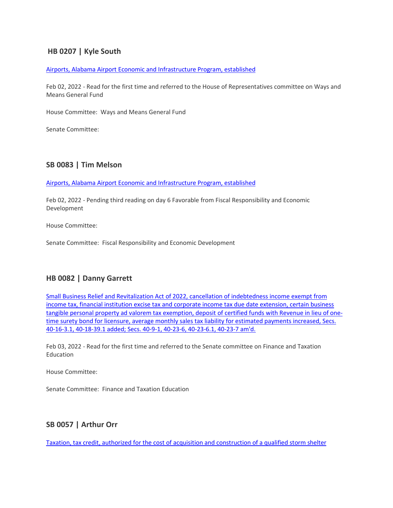# **HB 0207 | Kyle South**

#### [Airports, Alabama Airport Economic and Infrastructure Program, established](https://url.emailprotection.link/?bck8PuriJLGC6udiaVfAD5I92lre27n7Co_2tBwDhdhYc3dWNhqucA9JV-ddoI5B2WI3SPsKuyDweKcqPSUsun3yHhKAtu1IM0Hgqy-hX9CQaP-DDdZXz-2iieF6BMeQDazt5dkWQx0YGBKUpPETIO5xML8TX6hiTxyGBufITIDZiNidc8IgGOMlwIfziXkQVZojCba5udVbmRaixKyhNtFelt2VueYHbc-MQ7nJRgvqERUd0ZifoYVgek4fWjE20HROY-3Dr8QDOQ2rElgwoZXNazSQJ8iiiernmNIsVyytjz-CCgtTuRdH9dJMjfGl_OrZ20_P1qAl5X3AMPvY4UCvLjXpqi1hHau5u-vh5zYyZj4KuZ1wI9HzeMGrjz4LHYcpbWmr7x1tF40Wm0jJOJE5DOC6G9eik1aKnaU-PJq3Spfc4Pc619eHfWxv78aZ7Lj-Jt4_eMOuDWx7ZkctFA6_po91ejs_pgMNbKlG5_X_9fbUgoc8N8hDQ1SHG7ekLxB9lwBI_2MoJtkzIxn4uRWVNRYWLbQFFk5SW5_BapF7_mtxDhnqdHdeZlyrK_z0rgvsOOWmzqjQDWjJybBuhbf1k2MlCOa1nFeYzBrfxSxDUAyO9JLlUisy8iO8dQTAf)

Feb 02, 2022 - Read for the first time and referred to the House of Representatives committee on Ways and Means General Fund

House Committee: Ways and Means General Fund

Senate Committee:

### **SB 0083 | Tim Melson**

[Airports, Alabama Airport Economic and Infrastructure Program, established](https://url.emailprotection.link/?bQJW22efH9g0vPuuRr-AQV2SOt2pjHeIn8NaYoVv0Pul7M7nC75DX5cX5dIkwV9yjG5NlCcWILJjo-RxFx5wF74PeE2v_TK6fIlDOENvuk_OK1QEwBVFA_-4zzGau1M-xyufVM8H4WmfXW-QcpLABg8EbZpdxyAjbfhisIZJwQ2qUqWUp4Dtxcvp1OvGedoXLuzhSoLwg3EfrkCXGCXMDj0ZHrK-wxpFyRY-suVwY5wfKc5pC9_r1XYUGhWkd7p1ttNF8RIYIgq7YZWPcQdf9bdVXL4nPHrttxi1ZWs3RQUXaYTyv3gtGx5JQlT8XXcC5aPRdosaE_ec6Zk7SVVHnBElvNtfhlBdsFJLPRhT1dhjSr1HZgKoWJn1rTM71uhOn9l2_mvBWs0m9fqtgNNUvMi4tGhr6tvz5GjNzs-2dKJqsohClV8SQCY4N7Br2f1RAtclOfpVjSepvs9fJZF2sjnOoc_3KNNAJdn6d5P_lRNH_sCHqZsuE_rS8RdQnFUIF2h9K_8evgIGCiUgnqlR9B11Au7TwR79Jq_wR52gf7UBY-lfAqGAhmfYddYCmGs28Ac1S6jFjcLwLJ2BfqEYKPHbejeqSCedRyfW0TNqNEKk6TtF0elgyWy13q53kRxio)

Feb 02, 2022 - Pending third reading on day 6 Favorable from Fiscal Responsibility and Economic Development

House Committee:

Senate Committee: Fiscal Responsibility and Economic Development

### **HB 0082 | Danny Garrett**

[Small Business Relief and Revitalization Act of 2022, cancellation of indebtedness income exempt from](https://url.emailprotection.link/?bTdqGS91tzQZzU22cKsCXP-TOX6Qcgun24z0OseE4qEsZxRNDi3oA6qQhEHt9SllhBidg8bIRyY_Bhv94vkBxb4ShEYAtG8e7VnCbUXcZOwAFkzsl7P8QyaQGOxAXP83g_HRWfG9wy7Dzf7_-Gd0RRx4jHrrxOCaWkIcr-c0D2E9eclkQovS8a2uZ3lsWG3V9HyMEIowJaN2zqHkWXlo40LhpnW8A1z687Vzg3YgDU_UVq4sPR2vpyO2fAXJtbAlKuCxc5aRR5lGmIPtiyfR2Vdh3GtUEN-dwekAH0wVJHCpoPLdl8A5DNft2l1jZkPnU0SAK_5BHLos_yHkluaateye00jjah3wAGrGmXpLttPq72C1RP77cBXThauldFZSpF4IXNJkJ_lAi_5ZalIs8kICERWba-6Y5Rx-Dp4YZtolcPio8lC2oIB7Uf5rkSmJHsNpyqy_cT08-Jeft67OeaUelYah5bpAi5tvUtOl19ScRIpwhFz9D_TKhzQ3n8J6wk_MJ27PXvXMCvgFyJ20NSAQxtgpGN8uEZaq8UJIpJ56r6HIhwivQN9x2pftk-8yDwT96bzL9KgIJ2O0p_vomyHSZQ_cvmhCGjhT3u3xaF7WZz300BtJAF1IjpVxaEfGV)  [income tax, financial institution excise tax and corporate income tax due date extension, certain business](https://url.emailprotection.link/?bTdqGS91tzQZzU22cKsCXP-TOX6Qcgun24z0OseE4qEsZxRNDi3oA6qQhEHt9SllhBidg8bIRyY_Bhv94vkBxb4ShEYAtG8e7VnCbUXcZOwAFkzsl7P8QyaQGOxAXP83g_HRWfG9wy7Dzf7_-Gd0RRx4jHrrxOCaWkIcr-c0D2E9eclkQovS8a2uZ3lsWG3V9HyMEIowJaN2zqHkWXlo40LhpnW8A1z687Vzg3YgDU_UVq4sPR2vpyO2fAXJtbAlKuCxc5aRR5lGmIPtiyfR2Vdh3GtUEN-dwekAH0wVJHCpoPLdl8A5DNft2l1jZkPnU0SAK_5BHLos_yHkluaateye00jjah3wAGrGmXpLttPq72C1RP77cBXThauldFZSpF4IXNJkJ_lAi_5ZalIs8kICERWba-6Y5Rx-Dp4YZtolcPio8lC2oIB7Uf5rkSmJHsNpyqy_cT08-Jeft67OeaUelYah5bpAi5tvUtOl19ScRIpwhFz9D_TKhzQ3n8J6wk_MJ27PXvXMCvgFyJ20NSAQxtgpGN8uEZaq8UJIpJ56r6HIhwivQN9x2pftk-8yDwT96bzL9KgIJ2O0p_vomyHSZQ_cvmhCGjhT3u3xaF7WZz300BtJAF1IjpVxaEfGV)  [tangible personal property ad valorem tax exemption, deposit of certified funds with Revenue in lieu of one](https://url.emailprotection.link/?bTdqGS91tzQZzU22cKsCXP-TOX6Qcgun24z0OseE4qEsZxRNDi3oA6qQhEHt9SllhBidg8bIRyY_Bhv94vkBxb4ShEYAtG8e7VnCbUXcZOwAFkzsl7P8QyaQGOxAXP83g_HRWfG9wy7Dzf7_-Gd0RRx4jHrrxOCaWkIcr-c0D2E9eclkQovS8a2uZ3lsWG3V9HyMEIowJaN2zqHkWXlo40LhpnW8A1z687Vzg3YgDU_UVq4sPR2vpyO2fAXJtbAlKuCxc5aRR5lGmIPtiyfR2Vdh3GtUEN-dwekAH0wVJHCpoPLdl8A5DNft2l1jZkPnU0SAK_5BHLos_yHkluaateye00jjah3wAGrGmXpLttPq72C1RP77cBXThauldFZSpF4IXNJkJ_lAi_5ZalIs8kICERWba-6Y5Rx-Dp4YZtolcPio8lC2oIB7Uf5rkSmJHsNpyqy_cT08-Jeft67OeaUelYah5bpAi5tvUtOl19ScRIpwhFz9D_TKhzQ3n8J6wk_MJ27PXvXMCvgFyJ20NSAQxtgpGN8uEZaq8UJIpJ56r6HIhwivQN9x2pftk-8yDwT96bzL9KgIJ2O0p_vomyHSZQ_cvmhCGjhT3u3xaF7WZz300BtJAF1IjpVxaEfGV)time surety bond for licensure, average monthly sales tax liability for estimated payments increased, Secs. [40-16-3.1, 40-18-39.1 added; Secs. 40-9-1, 40-23-6, 40-23-6.1, 40-23-7 am'd.](https://url.emailprotection.link/?bTdqGS91tzQZzU22cKsCXP-TOX6Qcgun24z0OseE4qEsZxRNDi3oA6qQhEHt9SllhBidg8bIRyY_Bhv94vkBxb4ShEYAtG8e7VnCbUXcZOwAFkzsl7P8QyaQGOxAXP83g_HRWfG9wy7Dzf7_-Gd0RRx4jHrrxOCaWkIcr-c0D2E9eclkQovS8a2uZ3lsWG3V9HyMEIowJaN2zqHkWXlo40LhpnW8A1z687Vzg3YgDU_UVq4sPR2vpyO2fAXJtbAlKuCxc5aRR5lGmIPtiyfR2Vdh3GtUEN-dwekAH0wVJHCpoPLdl8A5DNft2l1jZkPnU0SAK_5BHLos_yHkluaateye00jjah3wAGrGmXpLttPq72C1RP77cBXThauldFZSpF4IXNJkJ_lAi_5ZalIs8kICERWba-6Y5Rx-Dp4YZtolcPio8lC2oIB7Uf5rkSmJHsNpyqy_cT08-Jeft67OeaUelYah5bpAi5tvUtOl19ScRIpwhFz9D_TKhzQ3n8J6wk_MJ27PXvXMCvgFyJ20NSAQxtgpGN8uEZaq8UJIpJ56r6HIhwivQN9x2pftk-8yDwT96bzL9KgIJ2O0p_vomyHSZQ_cvmhCGjhT3u3xaF7WZz300BtJAF1IjpVxaEfGV)

Feb 03, 2022 - Read for the first time and referred to the Senate committee on Finance and Taxation Education

House Committee:

Senate Committee: Finance and Taxation Education

# **SB 0057 | Arthur Orr**

[Taxation, tax credit, authorized for the cost of acquisition and](https://url.emailprotection.link/?bvWpYSm4IAmLEJFg_WUVvkHzdcKkcTJ2sZhlKdJGzTrPhauO66xCsGpQWBsER6ce0Lj1icZmG0P2Usl9EItKKoOdv5cYaBtchbLqJPlI9BT7pD_t-Qfq0gjg0For-hOdBLgrz_fkiWoK9Etu7xvVFI13pa_5DfpL0H_Dy-btirkD6RUb1Fc0_UNrChV_CS35Y-0TMK9zGSv1wY9NKXXPhFil0gqd1VkLZ6ZXh9jetk6kptPpfwO85EYYYETrHlzQ8G5VR4x-QA2W2hNTnwTO0Qpjvl4xCA5veIS1gmRsCTaOzwVH25ACptOfBwNhdBOo7ET9Se-i0dT6QUf6SGUZaArGLT7mCnodhIcD2WTw_26pD8jacleGpA2xMvTgTmLTryqbeyiFt_UF674WrqGBXHFOhFXiJdJK_mncp7ZsC_sUr9pIOvAHL3Nn1AWuHteUv0uLUbLTEs3YW0i2ID33c9fMnh4NmYqQfe7yetqO6z5CrXMurhvKWpiNaThHKi3oq-bm9K4SaZjBr4MMBnZwIvPI6Le_Dvj6yO0q-2wqcUSv_-2JnLGfp3hjhMJPwRpFMoo-rybD_QjXdYKVyAriMxMLCGFampO1Nk1vSMtKuPKUkh1TuOqB0UWz-Oozv8Yx3) construction of a qualified storm shelter